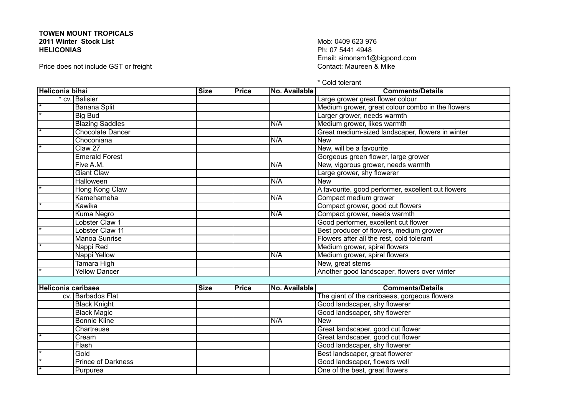## **TOWEN MOUNT TROPICALS 2011 Winter Stock List HELICONIAS**

Price does not include GST or freight

Mob: 0409 623 976 Ph: 07 5441 4948 Email: simonsm1@bigpond.com<br>Contact: Maureen & Mike

\* Cold tolerant

| <b>Heliconia bihai</b> |                           | <b>Size</b> | <b>Price</b> | No. Available | <b>Comments/Details</b>                            |
|------------------------|---------------------------|-------------|--------------|---------------|----------------------------------------------------|
|                        | * cv. Balisier            |             |              |               | Large grower great flower colour                   |
|                        | <b>Banana Split</b>       |             |              |               | Medium grower, great colour combo in the flowers   |
|                        | <b>Big Bud</b>            |             |              |               | Larger grower, needs warmth                        |
|                        | <b>Blazing Saddles</b>    |             |              | N/A           | Medium grower, likes warmth                        |
|                        | <b>Chocolate Dancer</b>   |             |              |               | Great medium-sized landscaper, flowers in winter   |
|                        | Choconiana                |             |              | N/A           | <b>New</b>                                         |
|                        | Claw <sub>27</sub>        |             |              |               | New, will be a favourite                           |
|                        | <b>Emerald Forest</b>     |             |              |               | Gorgeous green flower, large grower                |
|                        | Five A.M.                 |             |              | N/A           | New, vigorous grower, needs warmth                 |
|                        | <b>Giant Claw</b>         |             |              |               | Large grower, shy flowerer                         |
|                        | <b>Halloween</b>          |             |              | N/A           | <b>New</b>                                         |
|                        | Hong Kong Claw            |             |              |               | A favourite, good performer, excellent cut flowers |
|                        | Kamehameha                |             |              | N/A           | Compact medium grower                              |
|                        | Kawika                    |             |              |               | Compact grower, good cut flowers                   |
|                        | Kuma Negro                |             |              | N/A           | Compact grower, needs warmth                       |
|                        | Lobster Claw 1            |             |              |               | Good performer, excellent cut flower               |
|                        | <b>Lobster Claw 11</b>    |             |              |               | Best producer of flowers, medium grower            |
|                        | <b>Manoa Sunrise</b>      |             |              |               | Flowers after all the rest, cold tolerant          |
|                        | Nappi Red                 |             |              |               | Medium grower, spiral flowers                      |
|                        | Nappi Yellow              |             |              | N/A           | Medium grower, spiral flowers                      |
|                        | <b>Tamara High</b>        |             |              |               | New, great stems                                   |
|                        | <b>Yellow Dancer</b>      |             |              |               | Another good landscaper, flowers over winter       |
|                        |                           |             |              |               |                                                    |
| Heliconia caribaea     |                           | <b>Size</b> | <b>Price</b> | No. Available | <b>Comments/Details</b>                            |
|                        | cv. Barbados Flat         |             |              |               | The giant of the caribaeas, gorgeous flowers       |
|                        | <b>Black Knight</b>       |             |              |               | Good landscaper, shy flowerer                      |
|                        | <b>Black Magic</b>        |             |              |               | Good landscaper, shy flowerer                      |
|                        | <b>Bonnie Kline</b>       |             |              | N/A           | <b>New</b>                                         |
|                        | Chartreuse                |             |              |               | Great landscaper, good cut flower                  |
|                        | Cream                     |             |              |               | Great landscaper, good cut flower                  |
|                        | Flash                     |             |              |               | Good landscaper, shy flowerer                      |
|                        | Gold                      |             |              |               | Best landscaper, great flowerer                    |
|                        | <b>Prince of Darkness</b> |             |              |               | Good landscaper, flowers well                      |
|                        | Purpurea                  |             |              |               | One of the best, great flowers                     |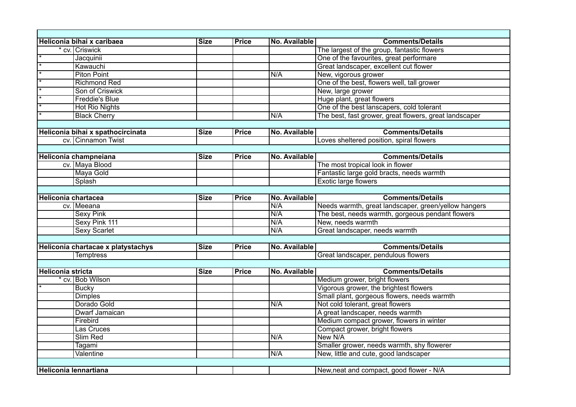|                       |                                                                                                                                                                                                                                                                                                                                                                                                                                                                                                                                                     |                                                          |                                                                                              | <b>Comments/Details</b>                                                                                                                                    |  |  |
|-----------------------|-----------------------------------------------------------------------------------------------------------------------------------------------------------------------------------------------------------------------------------------------------------------------------------------------------------------------------------------------------------------------------------------------------------------------------------------------------------------------------------------------------------------------------------------------------|----------------------------------------------------------|----------------------------------------------------------------------------------------------|------------------------------------------------------------------------------------------------------------------------------------------------------------|--|--|
|                       |                                                                                                                                                                                                                                                                                                                                                                                                                                                                                                                                                     |                                                          |                                                                                              | The largest of the group, fantastic flowers                                                                                                                |  |  |
| Jacquinii             |                                                                                                                                                                                                                                                                                                                                                                                                                                                                                                                                                     |                                                          |                                                                                              | One of the favourites, great performare                                                                                                                    |  |  |
|                       |                                                                                                                                                                                                                                                                                                                                                                                                                                                                                                                                                     |                                                          |                                                                                              | Great landscaper, excellent cut flower                                                                                                                     |  |  |
|                       |                                                                                                                                                                                                                                                                                                                                                                                                                                                                                                                                                     |                                                          |                                                                                              | New, vigorous grower                                                                                                                                       |  |  |
|                       |                                                                                                                                                                                                                                                                                                                                                                                                                                                                                                                                                     |                                                          |                                                                                              | One of the best, flowers well, tall grower                                                                                                                 |  |  |
|                       |                                                                                                                                                                                                                                                                                                                                                                                                                                                                                                                                                     |                                                          |                                                                                              | New, large grower                                                                                                                                          |  |  |
|                       |                                                                                                                                                                                                                                                                                                                                                                                                                                                                                                                                                     |                                                          |                                                                                              | Huge plant, great flowers                                                                                                                                  |  |  |
|                       |                                                                                                                                                                                                                                                                                                                                                                                                                                                                                                                                                     |                                                          |                                                                                              | One of the best lanscapers, cold tolerant                                                                                                                  |  |  |
|                       |                                                                                                                                                                                                                                                                                                                                                                                                                                                                                                                                                     |                                                          |                                                                                              | The best, fast grower, great flowers, great landscaper                                                                                                     |  |  |
|                       |                                                                                                                                                                                                                                                                                                                                                                                                                                                                                                                                                     |                                                          |                                                                                              |                                                                                                                                                            |  |  |
|                       | <b>Size</b>                                                                                                                                                                                                                                                                                                                                                                                                                                                                                                                                         |                                                          |                                                                                              | <b>Comments/Details</b>                                                                                                                                    |  |  |
|                       |                                                                                                                                                                                                                                                                                                                                                                                                                                                                                                                                                     |                                                          |                                                                                              | Loves sheltered position, spiral flowers                                                                                                                   |  |  |
|                       |                                                                                                                                                                                                                                                                                                                                                                                                                                                                                                                                                     |                                                          |                                                                                              |                                                                                                                                                            |  |  |
| Heliconia champneiana |                                                                                                                                                                                                                                                                                                                                                                                                                                                                                                                                                     |                                                          |                                                                                              | <b>Comments/Details</b>                                                                                                                                    |  |  |
|                       |                                                                                                                                                                                                                                                                                                                                                                                                                                                                                                                                                     |                                                          |                                                                                              | The most tropical look in flower                                                                                                                           |  |  |
|                       |                                                                                                                                                                                                                                                                                                                                                                                                                                                                                                                                                     |                                                          |                                                                                              | Fantastic large gold bracts, needs warmth                                                                                                                  |  |  |
| Splash                |                                                                                                                                                                                                                                                                                                                                                                                                                                                                                                                                                     |                                                          |                                                                                              | Exotic large flowers                                                                                                                                       |  |  |
|                       |                                                                                                                                                                                                                                                                                                                                                                                                                                                                                                                                                     |                                                          |                                                                                              |                                                                                                                                                            |  |  |
| Heliconia chartacea   |                                                                                                                                                                                                                                                                                                                                                                                                                                                                                                                                                     |                                                          |                                                                                              | <b>Comments/Details</b>                                                                                                                                    |  |  |
| cv. Meeana            |                                                                                                                                                                                                                                                                                                                                                                                                                                                                                                                                                     |                                                          |                                                                                              | Needs warmth, great landscaper, green/yellow hangers                                                                                                       |  |  |
|                       |                                                                                                                                                                                                                                                                                                                                                                                                                                                                                                                                                     |                                                          |                                                                                              | The best, needs warmth, gorgeous pendant flowers                                                                                                           |  |  |
|                       |                                                                                                                                                                                                                                                                                                                                                                                                                                                                                                                                                     |                                                          |                                                                                              | New, needs warmth                                                                                                                                          |  |  |
|                       |                                                                                                                                                                                                                                                                                                                                                                                                                                                                                                                                                     |                                                          |                                                                                              | Great landscaper, needs warmth                                                                                                                             |  |  |
|                       |                                                                                                                                                                                                                                                                                                                                                                                                                                                                                                                                                     |                                                          |                                                                                              |                                                                                                                                                            |  |  |
|                       | <b>Size</b>                                                                                                                                                                                                                                                                                                                                                                                                                                                                                                                                         |                                                          |                                                                                              | <b>Comments/Details</b>                                                                                                                                    |  |  |
|                       |                                                                                                                                                                                                                                                                                                                                                                                                                                                                                                                                                     |                                                          |                                                                                              | Great landscaper, pendulous flowers                                                                                                                        |  |  |
|                       |                                                                                                                                                                                                                                                                                                                                                                                                                                                                                                                                                     |                                                          |                                                                                              |                                                                                                                                                            |  |  |
|                       |                                                                                                                                                                                                                                                                                                                                                                                                                                                                                                                                                     |                                                          |                                                                                              | <b>Comments/Details</b>                                                                                                                                    |  |  |
|                       |                                                                                                                                                                                                                                                                                                                                                                                                                                                                                                                                                     |                                                          |                                                                                              | Medium grower, bright flowers                                                                                                                              |  |  |
| <b>Bucky</b>          |                                                                                                                                                                                                                                                                                                                                                                                                                                                                                                                                                     |                                                          |                                                                                              | Vigorous grower, the brightest flowers                                                                                                                     |  |  |
|                       |                                                                                                                                                                                                                                                                                                                                                                                                                                                                                                                                                     |                                                          |                                                                                              | Small plant, gorgeous flowers, needs warmth                                                                                                                |  |  |
|                       |                                                                                                                                                                                                                                                                                                                                                                                                                                                                                                                                                     |                                                          |                                                                                              | Not cold tolerant, great flowers                                                                                                                           |  |  |
|                       |                                                                                                                                                                                                                                                                                                                                                                                                                                                                                                                                                     |                                                          |                                                                                              | A great landscaper, needs warmth                                                                                                                           |  |  |
|                       |                                                                                                                                                                                                                                                                                                                                                                                                                                                                                                                                                     |                                                          |                                                                                              | Medium compact grower, flowers in winter                                                                                                                   |  |  |
| Las Cruces            |                                                                                                                                                                                                                                                                                                                                                                                                                                                                                                                                                     |                                                          |                                                                                              | Compact grower, bright flowers                                                                                                                             |  |  |
|                       |                                                                                                                                                                                                                                                                                                                                                                                                                                                                                                                                                     |                                                          |                                                                                              | New N/A                                                                                                                                                    |  |  |
| Tagami                |                                                                                                                                                                                                                                                                                                                                                                                                                                                                                                                                                     |                                                          |                                                                                              | Smaller grower, needs warmth, shy flowerer                                                                                                                 |  |  |
| <b>Valentine</b>      |                                                                                                                                                                                                                                                                                                                                                                                                                                                                                                                                                     |                                                          | N/A                                                                                          | New, little and cute, good landscaper                                                                                                                      |  |  |
|                       |                                                                                                                                                                                                                                                                                                                                                                                                                                                                                                                                                     |                                                          |                                                                                              |                                                                                                                                                            |  |  |
| Heliconia lennartiana |                                                                                                                                                                                                                                                                                                                                                                                                                                                                                                                                                     |                                                          |                                                                                              | New, neat and compact, good flower - N/A                                                                                                                   |  |  |
|                       | Heliconia bihai x caribaea<br>* cv. Criswick<br>Kawauchi<br><b>Piton Point</b><br><b>Richmond Red</b><br>Son of Criswick<br><b>Freddie's Blue</b><br><b>Hot Rio Nights</b><br><b>Black Cherry</b><br>Heliconia bihai x spathocircinata<br>cv. Cinnamon Twist<br>cv. Maya Blood<br><b>Maya Gold</b><br><b>Sexy Pink</b><br>Sexy Pink 111<br><b>Sexy Scarlet</b><br>Heliconia chartacae x platystachys<br><b>Temptress</b><br><b>Heliconia stricta</b><br>* cv. Bob Wilson<br><b>Dimples</b><br>Dorado Gold<br>Dwarf Jamaican<br>Firebird<br>Slim Red | <b>Size</b><br><b>Size</b><br><b>Size</b><br><b>Size</b> | <b>Price</b><br><b>Price</b><br><b>Price</b><br><b>Price</b><br><b>Price</b><br><b>Price</b> | No. Available<br>N/A<br>N/A<br>No. Available<br>No. Available<br>No. Available<br>N/A<br>N/A<br>N/A<br>N/A<br>No. Available<br>No. Available<br>N/A<br>N/A |  |  |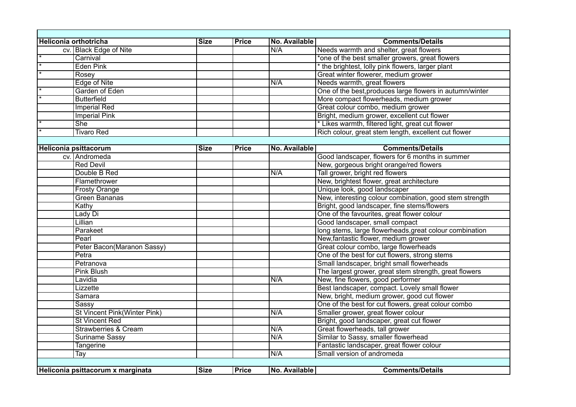| Heliconia orthotricha |                                     | <b>Size</b> | <b>Price</b> | No. Available | <b>Comments/Details</b>                                  |  |  |
|-----------------------|-------------------------------------|-------------|--------------|---------------|----------------------------------------------------------|--|--|
|                       | cv. Black Edge of Nite              |             |              | N/A           | Needs warmth and shelter, great flowers                  |  |  |
| $\overline{\ast}$     | Carnival                            |             |              |               | *one of the best smaller growers, great flowers          |  |  |
|                       | <b>Eden Pink</b>                    |             |              |               | * the brightest, lolly pink flowers, larger plant        |  |  |
|                       | Rosey                               |             |              |               | Great winter flowerer, medium grower                     |  |  |
|                       | <b>Edge of Nite</b>                 |             |              | N/A           | Needs warmth, great flowers                              |  |  |
|                       | Garden of Eden                      |             |              |               | One of the best, produces large flowers in autumn/winter |  |  |
|                       | <b>Butterfield</b>                  |             |              |               | More compact flowerheads, medium grower                  |  |  |
|                       | <b>Imperial Red</b>                 |             |              |               | Great colour combo, medium grower                        |  |  |
|                       | <b>Imperial Pink</b>                |             |              |               | Bright, medium grower, excellent cut flower              |  |  |
|                       | <b>She</b>                          |             |              |               | * Likes warmth, filtered light, great cut flower         |  |  |
|                       | <b>Tivaro Red</b>                   |             |              |               | Rich colour, great stem length, excellent cut flower     |  |  |
|                       |                                     |             |              |               |                                                          |  |  |
|                       | <b>Heliconia psittacorum</b>        | <b>Size</b> | <b>Price</b> | No. Available | <b>Comments/Details</b>                                  |  |  |
|                       | cv. Andromeda                       |             |              |               | Good landscaper, flowers for 6 months in summer          |  |  |
|                       | <b>Red Devil</b>                    |             |              |               | New, gorgeous bright orange/red flowers                  |  |  |
|                       | Double B Red                        |             |              | N/A           | Tall grower, bright red flowers                          |  |  |
|                       | Flamethrower                        |             |              |               | New, brightest flower, great architecture                |  |  |
|                       | <b>Frosty Orange</b>                |             |              |               | Unique look, good landscaper                             |  |  |
|                       | <b>Green Bananas</b>                |             |              |               | New, interesting colour combination, good stem strength  |  |  |
|                       | Kathy                               |             |              |               | Bright, good landscaper, fine stems/flowers              |  |  |
|                       | Lady Di                             |             |              |               | One of the favourites, great flower colour               |  |  |
|                       | Lillian                             |             |              |               | Good landscaper, small compact                           |  |  |
|                       | Parakeet                            |             |              |               | long stems, large flowerheads, great colour combination  |  |  |
|                       | Pearl                               |             |              |               | New, fantastic flower, medium grower                     |  |  |
|                       | Peter Bacon(Maranon Sassy)          |             |              |               | Great colour combo, large flowerheads                    |  |  |
|                       | Petra                               |             |              |               | One of the best for cut flowers, strong stems            |  |  |
|                       | Petranova                           |             |              |               | Small landscaper, bright small flowerheads               |  |  |
|                       | <b>Pink Blush</b>                   |             |              |               | The largest grower, great stem strength, great flowers   |  |  |
|                       | Lavidia                             |             |              | N/A           | New, fine flowers, good performer                        |  |  |
|                       | Lizzette                            |             |              |               | Best landscaper, compact. Lovely small flower            |  |  |
|                       | Samara                              |             |              |               | New, bright, medium grower, good cut flower              |  |  |
|                       | Sassy                               |             |              |               | One of the best for cut flowers, great colour combo      |  |  |
|                       | <b>St Vincent Pink(Winter Pink)</b> |             |              | N/A           | Smaller grower, great flower colour                      |  |  |
|                       | <b>St Vincent Red</b>               |             |              |               | Bright, good landscaper, great cut flower                |  |  |
|                       | <b>Strawberries &amp; Cream</b>     |             |              | N/A           | Great flowerheads, tall grower                           |  |  |
|                       | <b>Suriname Sassy</b>               |             |              | N/A           | Similar to Sassy, smaller flowerhead                     |  |  |
|                       | <b>Tangerine</b>                    |             |              |               | Fantastic landscaper, great flower colour                |  |  |
|                       | <b>Tay</b>                          |             |              | N/A           | Small version of andromeda                               |  |  |
|                       |                                     |             |              |               |                                                          |  |  |
|                       | Heliconia psittacorum x marginata   | <b>Size</b> | <b>Price</b> | No. Available | <b>Comments/Details</b>                                  |  |  |
|                       |                                     |             |              |               |                                                          |  |  |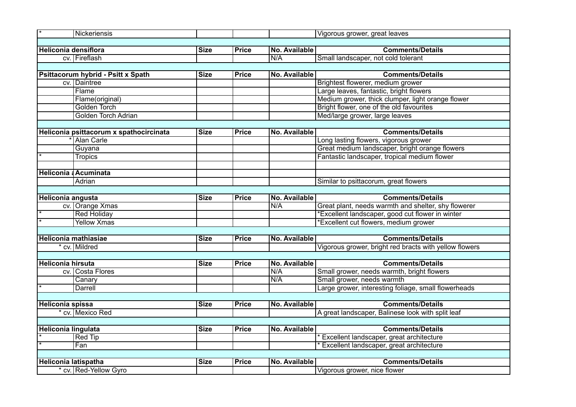| $\overline{\ast}$           | Nickeriensis                            |             |              |                      | Vigorous grower, great leaves                          |  |  |
|-----------------------------|-----------------------------------------|-------------|--------------|----------------------|--------------------------------------------------------|--|--|
|                             |                                         |             |              |                      |                                                        |  |  |
| <b>Heliconia densiflora</b> |                                         | <b>Size</b> | <b>Price</b> | No. Available        | <b>Comments/Details</b>                                |  |  |
|                             | cv. Fireflash                           |             |              | N/A                  | Small landscaper, not cold tolerant                    |  |  |
|                             |                                         |             |              |                      |                                                        |  |  |
|                             | Psittacorum hybrid - Psitt x Spath      | <b>Size</b> | <b>Price</b> | No. Available        | <b>Comments/Details</b>                                |  |  |
|                             | cv. Daintree                            |             |              |                      | Brightest flowerer, medium grower                      |  |  |
|                             | Flame                                   |             |              |                      | Large leaves, fantastic, bright flowers                |  |  |
|                             | Flame(original)                         |             |              |                      | Medium grower, thick clumper, light orange flower      |  |  |
|                             | Golden Torch                            |             |              |                      | Bright flower, one of the old favourites               |  |  |
|                             | Golden Torch Adrian                     |             |              |                      | Med/large grower, large leaves                         |  |  |
|                             |                                         |             |              |                      |                                                        |  |  |
|                             | Heliconia psittacorum x spathocircinata | <b>Size</b> | <b>Price</b> | No. Available        | <b>Comments/Details</b>                                |  |  |
|                             | <b>Alan Carle</b>                       |             |              |                      | Long lasting flowers, vigorous grower                  |  |  |
|                             | Guyana                                  |             |              |                      | Great medium landscaper, bright orange flowers         |  |  |
|                             | <b>Tropics</b>                          |             |              |                      | Fantastic landscaper, tropical medium flower           |  |  |
|                             |                                         |             |              |                      |                                                        |  |  |
|                             | Heliconia & Acuminata                   |             |              |                      |                                                        |  |  |
|                             | Adrian                                  |             |              |                      | Similar to psittacorum, great flowers                  |  |  |
|                             |                                         |             |              |                      |                                                        |  |  |
| <b>Heliconia angusta</b>    |                                         | <b>Size</b> | <b>Price</b> | No. Available        | <b>Comments/Details</b>                                |  |  |
|                             | cv. Orange Xmas                         |             |              | N/A                  | Great plant, needs warmth and shelter, shy flowerer    |  |  |
|                             | <b>Red Holiday</b>                      |             |              |                      | *Excellent landscaper, good cut flower in winter       |  |  |
|                             | <b>Yellow Xmas</b>                      |             |              |                      | *Excellent cut flowers, medium grower                  |  |  |
|                             |                                         |             |              |                      |                                                        |  |  |
| Heliconia mathiasiae        |                                         | <b>Size</b> | <b>Price</b> | No. Available        | <b>Comments/Details</b>                                |  |  |
|                             | * cv. Mildred                           |             |              |                      | Vigorous grower, bright red bracts with yellow flowers |  |  |
|                             |                                         |             |              |                      |                                                        |  |  |
| <b>Heliconia hirsuta</b>    |                                         | <b>Size</b> | Price        | <b>No. Available</b> | <b>Comments/Details</b>                                |  |  |
|                             | cv. Costa Flores                        |             |              | N/A                  | Small grower, needs warmth, bright flowers             |  |  |
|                             | Canary                                  |             |              | N/A                  | Small grower, needs warmth                             |  |  |
|                             | Darrell                                 |             |              |                      | Large grower, interesting foliage, small flowerheads   |  |  |
|                             |                                         |             |              |                      |                                                        |  |  |
| <b>Heliconia spissa</b>     |                                         | <b>Size</b> | <b>Price</b> | No. Available        | <b>Comments/Details</b>                                |  |  |
|                             | cv. Mexico Red                          |             |              |                      | A great landscaper, Balinese look with split leaf      |  |  |
|                             |                                         |             |              |                      |                                                        |  |  |
| <b>Heliconia lingulata</b>  |                                         | <b>Size</b> | <b>Price</b> | No. Available        | <b>Comments/Details</b>                                |  |  |
|                             | <b>Red Tip</b>                          |             |              |                      | Excellent landscaper, great architecture               |  |  |
|                             | Fan                                     |             |              |                      | Excellent landscaper, great architecture               |  |  |
|                             |                                         |             |              |                      |                                                        |  |  |
| Heliconia latispatha        |                                         | <b>Size</b> | <b>Price</b> | No. Available        | <b>Comments/Details</b>                                |  |  |
|                             | cv. Red-Yellow Gyro                     |             |              |                      | Vigorous grower, nice flower                           |  |  |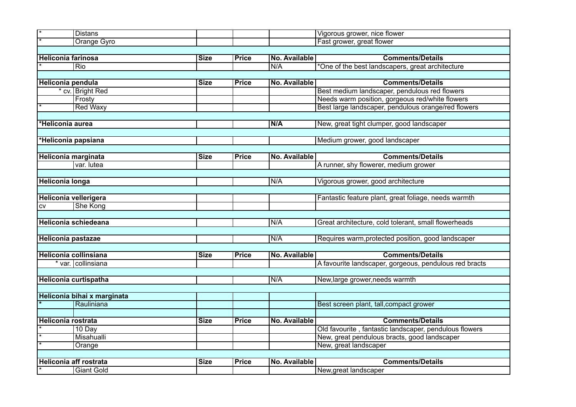|                               | <b>Distans</b>              |             |              |                      | Vigorous grower, nice flower                           |
|-------------------------------|-----------------------------|-------------|--------------|----------------------|--------------------------------------------------------|
|                               | Orange Gyro                 |             |              |                      | Fast grower, great flower                              |
|                               |                             |             |              |                      |                                                        |
| <b>Heliconia farinosa</b>     |                             | <b>Size</b> | <b>Price</b> | No. Available        | <b>Comments/Details</b>                                |
|                               | Rio                         |             |              | N/A                  | *One of the best landscapers, great architecture       |
|                               |                             |             |              |                      |                                                        |
| Heliconia pendula             |                             | <b>Size</b> | <b>Price</b> | No. Available        | <b>Comments/Details</b>                                |
|                               | * cv. Bright Red            |             |              |                      | Best medium landscaper, pendulous red flowers          |
|                               | Frosty                      |             |              |                      | Needs warm position, gorgeous red/white flowers        |
|                               | <b>Red Waxy</b>             |             |              |                      | Best large landscaper, pendulous orange/red flowers    |
|                               |                             |             |              |                      |                                                        |
| *Heliconia aurea              |                             |             |              | N/A                  | New, great tight clumper, good landscaper              |
|                               |                             |             |              |                      |                                                        |
| *Heliconia papsiana           |                             |             |              |                      | Medium grower, good landscaper                         |
|                               |                             |             |              |                      |                                                        |
| Heliconia marginata           |                             | <b>Size</b> | Price        | No. Available        | <b>Comments/Details</b>                                |
|                               | var. lutea                  |             |              |                      | A runner, shy flowerer, medium grower                  |
|                               |                             |             |              |                      |                                                        |
| <b>Heliconia longa</b>        |                             |             |              | N/A                  | Vigorous grower, good architecture                     |
|                               |                             |             |              |                      |                                                        |
| Heliconia vellerigera         |                             |             |              |                      | Fantastic feature plant, great foliage, needs warmth   |
| <b>CV</b>                     | She Kong                    |             |              |                      |                                                        |
|                               |                             |             |              |                      |                                                        |
|                               | Heliconia schiedeana        |             |              | N/A                  | Great architecture, cold tolerant, small flowerheads   |
|                               |                             |             |              |                      |                                                        |
| Heliconia pastazae            |                             |             |              | N/A                  | Requires warm, protected position, good landscaper     |
|                               |                             |             |              |                      |                                                        |
| Heliconia collinsiana         |                             | <b>Size</b> | <b>Price</b> | No. Available        | <b>Comments/Details</b>                                |
|                               | * var. collinsiana          |             |              |                      | A favourite landscaper, gorgeous, pendulous red bracts |
|                               |                             |             |              |                      |                                                        |
|                               | Heliconia curtispatha       |             |              | N/A                  | New, large grower, needs warmth                        |
|                               |                             |             |              |                      |                                                        |
|                               | Heliconia bihai x marginata |             |              |                      |                                                        |
|                               | Rauliniana                  |             |              |                      | Best screen plant, tall, compact grower                |
|                               |                             |             |              |                      |                                                        |
| <b>Heliconia rostrata</b>     |                             | <b>Size</b> | <b>Price</b> | No. Available        | <b>Comments/Details</b>                                |
|                               | 10 Day                      |             |              |                      | Old favourite, fantastic landscaper, pendulous flowers |
|                               | Misahualli                  |             |              |                      | New, great pendulous bracts, good landscaper           |
|                               | Orange                      |             |              |                      | New, great landscaper                                  |
|                               |                             |             |              |                      |                                                        |
| <b>Heliconia aff rostrata</b> |                             | <b>Size</b> | <b>Price</b> | <b>No. Available</b> | <b>Comments/Details</b>                                |
|                               | <b>Giant Gold</b>           |             |              |                      | New, great landscaper                                  |
|                               |                             |             |              |                      |                                                        |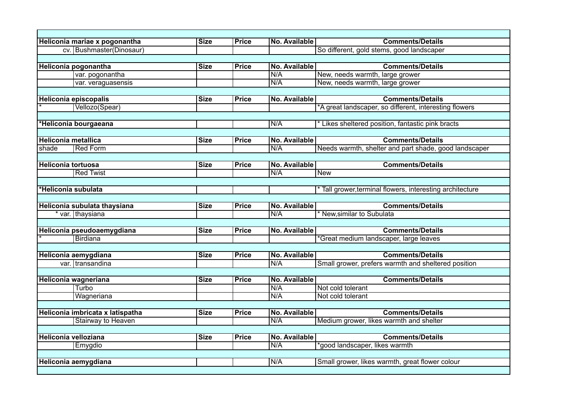|                            | Heliconia mariae x pogonantha    | <b>Size</b> | <b>Price</b> | No. Available        | <b>Comments/Details</b>                                 |
|----------------------------|----------------------------------|-------------|--------------|----------------------|---------------------------------------------------------|
|                            | cv. Bushmaster(Dinosaur)         |             |              |                      | So different, gold stems, good landscaper               |
|                            |                                  |             |              |                      |                                                         |
|                            | Heliconia pogonantha             | <b>Size</b> | <b>Price</b> | No. Available        | <b>Comments/Details</b>                                 |
|                            | var. pogonantha                  |             |              | N/A                  | New, needs warmth, large grower                         |
|                            | var. veraguasensis               |             |              | N/A                  | New, needs warmth, large grower                         |
|                            |                                  |             |              |                      |                                                         |
|                            | <b>Heliconia episcopalis</b>     | <b>Size</b> | <b>Price</b> | No. Available        | <b>Comments/Details</b>                                 |
|                            | Vellozo(Spear)                   |             |              |                      | *A great landscaper, so different, interesting flowers  |
|                            |                                  |             |              |                      |                                                         |
|                            | Heliconia bourgaeana             |             |              | N/A                  | * Likes sheltered position, fantastic pink bracts       |
|                            |                                  |             |              |                      |                                                         |
| <b>Heliconia metallica</b> |                                  | <b>Size</b> | <b>Price</b> | No. Available        | <b>Comments/Details</b>                                 |
| shade                      | <b>Red Form</b>                  |             |              | N/A                  | Needs warmth, shelter and part shade, good landscaper   |
|                            |                                  |             |              |                      |                                                         |
| <b>Heliconia tortuosa</b>  |                                  | <b>Size</b> | <b>Price</b> | No. Available        | <b>Comments/Details</b>                                 |
|                            | <b>Red Twist</b>                 |             |              | N/A                  | <b>New</b>                                              |
|                            |                                  |             |              |                      |                                                         |
| *Heliconia subulata        |                                  |             |              |                      | Tall grower, terminal flowers, interesting architecture |
|                            |                                  |             |              |                      |                                                         |
|                            | Heliconia subulata thaysiana     | <b>Size</b> | <b>Price</b> | No. Available        | <b>Comments/Details</b>                                 |
|                            | * var. thaysiana                 |             |              | N/A                  | * New, similar to Subulata                              |
|                            |                                  |             |              |                      |                                                         |
|                            | Heliconia pseudoaemygdiana       | <b>Size</b> | <b>Price</b> | No. Available        | <b>Comments/Details</b>                                 |
|                            | Birdiana                         |             |              |                      | Great medium landscaper, large leaves                   |
|                            |                                  |             |              |                      |                                                         |
|                            | Heliconia aemygdiana             | <b>Size</b> | <b>Price</b> | No. Available        | <b>Comments/Details</b>                                 |
|                            | var. transandina                 |             |              | N/A                  | Small grower, prefers warmth and sheltered position     |
|                            |                                  |             |              |                      |                                                         |
|                            | Heliconia wagneriana             | <b>Size</b> | <b>Price</b> | No. Available        | <b>Comments/Details</b>                                 |
|                            | <b>Turbo</b>                     |             |              | N/A                  | Not cold tolerant                                       |
|                            | Wagneriana                       |             |              | N/A                  | Not cold tolerant                                       |
|                            |                                  |             |              |                      |                                                         |
|                            | Heliconia imbricata x latispatha | <b>Size</b> | <b>Price</b> | <b>No. Available</b> | <b>Comments/Details</b>                                 |
|                            | <b>Stairway to Heaven</b>        |             |              | N/A                  | Medium grower, likes warmth and shelter                 |
|                            |                                  |             |              |                      |                                                         |
|                            | Heliconia velloziana             | <b>Size</b> | <b>Price</b> | No. Available        | <b>Comments/Details</b>                                 |
|                            | Emygdio                          |             |              | N/A                  | *good landscaper, likes warmth                          |
|                            |                                  |             |              |                      |                                                         |
|                            | Heliconia aemygdiana             |             |              | N/A                  | Small grower, likes warmth, great flower colour         |
|                            |                                  |             |              |                      |                                                         |